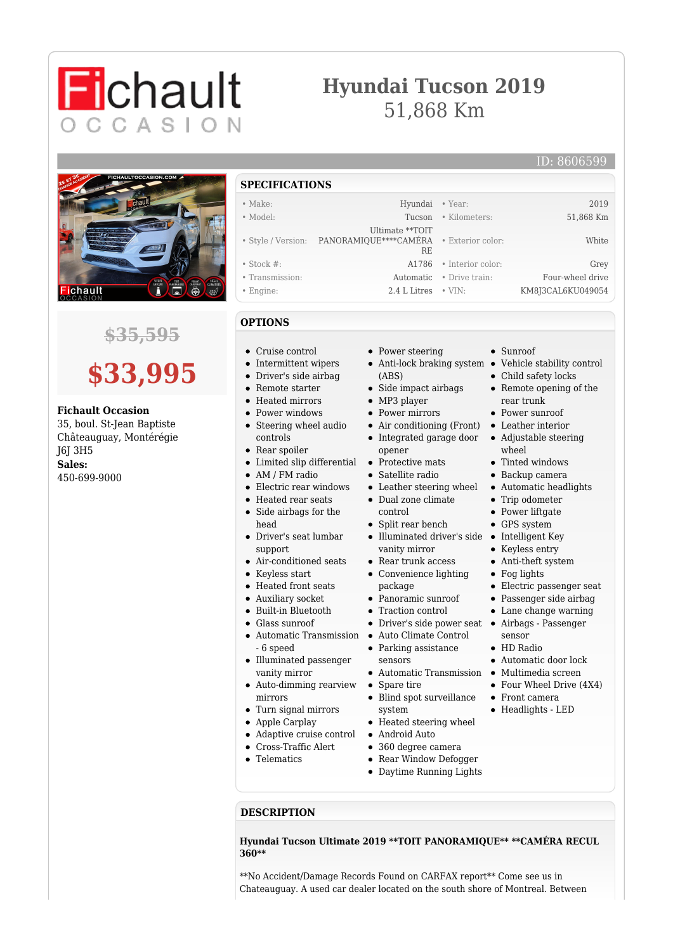## **Hyundai Tucson 2019** 51,868 Km



**Fichault** 

CCASION

### **\$35,595**

# **\$33,995**

#### **Fichault Occasion**

35, boul. St-Jean Baptiste Châteauguay, Montérégie J6J 3H5 **Sales:** 450-699-9000

**SPECIFICATIONS** • Make: Hyundai • Year: 2019 • Model: Tucson • Kilometers: 51,868 Km • Style / Version: PANORAMIQUE\*\*\*\*CAMÉRA Ultimate \*\*TOIT RE • Exterior color: White • Stock #: A1786 • Interior color: Grey • Transmission: Automatic • Drive train: Four-wheel drive • Engine: 2.4 L Litres • VIN: KM8J3CAL6KU049054

#### **OPTIONS**

- Cruise control
- Intermittent wipers
- Driver's side airbag
- Remote starter
- Heated mirrors
- Power windows
- Steering wheel audio controls
- Rear spoiler
- Limited slip differential
- AM / FM radio
- Electric rear windows
- Heated rear seats
- Side airbags for the head
- Driver's seat lumbar support
- Air-conditioned seats
- Keyless start
- Heated front seats
- Auxiliary socket
- Built-in Bluetooth
- Glass sunroof
- 
- 6 speed Illuminated passenger  $\bullet$
- vanity mirror
- Auto-dimming rearview mirrors
- Turn signal mirrors
- Apple Carplay
- $\bullet$ Adaptive cruise control
- Cross-Traffic Alert
- **•** Telematics
- Power steering
- Anti-lock braking system Vehicle stability control
- Side impact airbags
- MP3 player
- Power mirrors
- Air conditioning (Front)
- Integrated garage door opener
- Protective mats  $\bullet$
- Satellite radio
- Leather steering wheel Dual zone climate control
- Split rear bench
- Illuminated driver's side Intelligent Key vanity mirror
- Rear trunk access
- Convenience lighting package
- Panoramic sunroof
- Traction control
- Driver's side power seat Airbags Passenger
- Automatic Transmission Auto Climate Control
	- Parking assistance
	- sensors
	- Spare tire
	- Blind spot surveillance
	- system
	- Heated steering wheel
	- -
	- Rear Window Defogger
	- Daytime Running Lights

#### **DESCRIPTION**

**Hyundai Tucson Ultimate 2019 \*\*TOIT PANORAMIQUE\*\* \*\*CAMÉRA RECUL 360\*\***

\*\*No Accident/Damage Records Found on CARFAX report\*\* Come see us in Chateauguay. A used car dealer located on the south shore of Montreal. Between

- -
	- (ABS)
	-
	-
	- - Leather interior
			- Adjustable steering wheel
				- Tinted windows
					- Backup camera

Sunroof

• Child safety locks • Remote opening of the

rear trunk • Power sunroof

- Automatic headlights • Trip odometer
- $\bullet$  Power liftgate
- GPS system
- 
- Keyless entry
- Anti-theft system
- Fog lights
- Electric passenger seat
- Passenger side airbag
- Lane change warning
- sensor
- HD Radio
- Automatic door lock
- Automatic Transmission Multimedia screen
	- Four Wheel Drive (4X4)
	- Front camera
	- Headlights LED
- Android Auto 360 degree camera